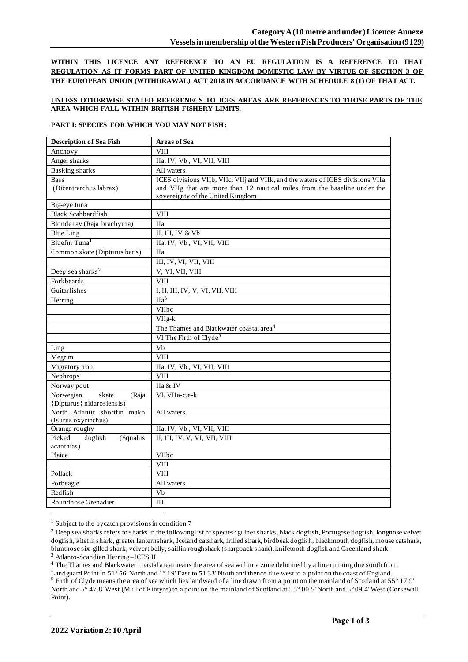**WITHIN THIS LICENCE ANY REFERENCE TO AN EU REGULATION IS A REFERENCE TO THAT REGULATION AS IT FORMS PART OF UNITED KINGDOM DOMESTIC LAW BY VIRTUE OF SECTION 3 OF THE EUROPEAN UNION (WITHDRAWAL) ACT 2018 IN ACCORDANCE WITH SCHEDULE 8 (1) OF THAT ACT.**

### **UNLESS OTHERWISE STATED REFERENECS TO ICES AREAS ARE REFERENCES TO THOSE PARTS OF THE AREA WHICH FALL WITHIN BRITISH FISHERY LIMITS.**

### **PART I: SPECIES FOR WHICH YOU MAY NOT FISH:**

| <b>Description of Sea Fish</b>              | <b>Areas of Sea</b>                                                             |
|---------------------------------------------|---------------------------------------------------------------------------------|
| Anchovy                                     | <b>VIII</b>                                                                     |
| Angel sharks                                | IIa, IV, Vb, VI, VII, VIII                                                      |
| <b>Basking sharks</b>                       | All waters                                                                      |
| <b>Bass</b>                                 | ICES divisions VIIb, VIIc, VIIj and VIIk, and the waters of ICES divisions VIIa |
| (Dicentrarchus labrax)                      | and VIIg that are more than 12 nautical miles from the baseline under the       |
|                                             | sovereignty of the United Kingdom.                                              |
| Big-eye tuna                                |                                                                                 |
| <b>Black Scabbardfish</b>                   | <b>VIII</b>                                                                     |
| Blonde ray (Raja brachyura)                 | <b>IIa</b>                                                                      |
| <b>Blue Ling</b>                            | II, III, IV & Vb                                                                |
| Bluefin Tuna <sup>1</sup>                   | IIa, IV, Vb, VI, VII, VIII                                                      |
| Common skate (Dipturus batis)               | <b>IIa</b>                                                                      |
|                                             | III, IV, VI, VII, VIII                                                          |
| Deep sea sharks <sup>2</sup>                | V, VI, VII, VIII                                                                |
| Forkbeards                                  | <b>VIII</b>                                                                     |
| Guitarfishes                                | I, II, III, IV, V, VI, VII, VIII                                                |
| Herring                                     | IIa <sup>3</sup>                                                                |
|                                             | VIIbc                                                                           |
|                                             | $VIIg-k$                                                                        |
|                                             | The Thames and Blackwater coastal area <sup>4</sup>                             |
|                                             | VI The Firth of Clyde <sup>5</sup>                                              |
| Ling                                        | Vb                                                                              |
| Megrim                                      | <b>VIII</b>                                                                     |
| Migratory trout                             | IIa, IV, Vb, VI, VII, VIII                                                      |
| Nephrops                                    | <b>VIII</b>                                                                     |
| Norway pout                                 | IIa & IV                                                                        |
| Norwegian<br>skate<br>(Raja                 | VI, VIIa-c,e-k                                                                  |
| {Dipturus} nidarosiensis}                   |                                                                                 |
| North Atlantic shortfin mako                | All waters                                                                      |
| (Isurus oxyrinchus)                         |                                                                                 |
| Orange roughy                               | IIa, IV, Vb, VI, VII, VIII                                                      |
| Picked<br>dogfish<br>(Squalus<br>acanthias) | II, III, IV, V, VI, VII, VIII                                                   |
| Plaice                                      | VIIbc                                                                           |
|                                             | <b>VIII</b>                                                                     |
| Pollack                                     | <b>VIII</b>                                                                     |
| Porbeagle                                   | All waters                                                                      |
| Redfish                                     | $\overline{V}$                                                                  |
| Roundnose Grenadier                         | III                                                                             |
|                                             |                                                                                 |

<sup>1</sup> Subject to the bycatch provisions in condition 7

<sup>3</sup> Atlanto-Scandian Herring –ICES II.

<sup>4</sup> The Thames and Blackwater coastal area means the area of sea within a zone delimited by a line running due south from Landguard Point in 51° 56' North and 1° 19' East to 51 33' North and thence due west to a point on the coast of England. <sup>5</sup> Firth of Clyde means the area of sea which lies landward of a line drawn from a point on the mainland of Scotland at 55° 17.9' North and 5° 47.8' West (Mull of Kintyre) to a point on the mainland of Scotland at 55° 00.5' North and 5° 09.4' West (Corsewall Point).

<sup>&</sup>lt;sup>2</sup> Deep sea sharks refers to sharks in the following list of species: gulper sharks, black dogfish, Portugese dogfish, longnose velvet dogfish, kitefin shark, greater lanternshark, Iceland catshark, frilled shark, birdbeak dogfish, blackmouth dogfish, mouse catshark, bluntnose six-gilled shark, velvert belly, sailfin roughshark (sharpback shark), knifetooth dogfish and Greenland shark.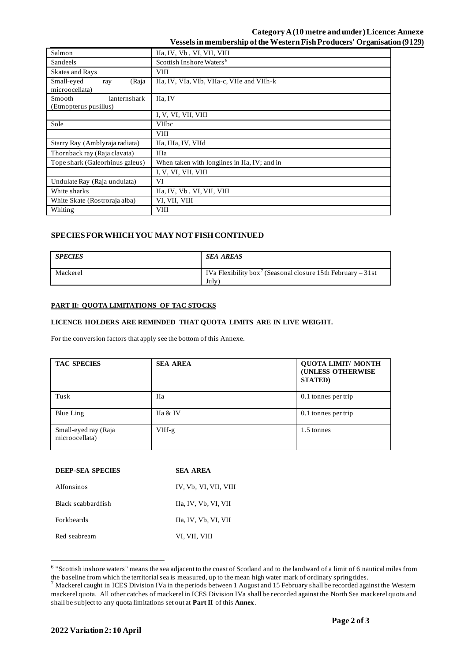## **Category A (10 metre and under)Licence: Annexe Vessels in membership of the WesternFish Producers' Organisation (9129)**

| Salmon                                                 | IIa, IV, Vb, VI, VII, VIII                   |  |
|--------------------------------------------------------|----------------------------------------------|--|
| Sandeels                                               | Scottish Inshore Waters <sup>6</sup>         |  |
| <b>Skates and Rays</b>                                 | <b>VIII</b>                                  |  |
| Small-eyed<br>(Raja<br>ray<br>microocellata)           | IIa, IV, VIa, VIb, VIIa-c, VIIe and VIIh-k   |  |
| lanternshark<br><b>Smooth</b><br>(Etmopterus pusillus) | IIa, IV                                      |  |
|                                                        | I, V, VI, VII, VIII                          |  |
| Sole                                                   | <b>VIIbc</b>                                 |  |
|                                                        | VIII                                         |  |
| Starry Ray (Amblyraja radiata)                         | IIa, IIIa, IV, VIId                          |  |
| Thornback ray (Raja clavata)                           | <b>IIIa</b>                                  |  |
| Tope shark (Galeorhinus galeus)                        | When taken with longlines in IIa, IV; and in |  |
|                                                        | I, V, VI, VII, VIII                          |  |
| Undulate Ray (Raja undulata)                           | VI                                           |  |
| White sharks                                           | IIa, IV, Vb, VI, VII, VIII                   |  |
| White Skate (Rostroraja alba)                          | VI, VII, VIII                                |  |
| Whiting                                                | <b>VIII</b>                                  |  |

# **SPECIES FOR WHICH YOU MAY NOT FISH CONTINUED**

| <b>SPECIES</b> | <b>SEA AREAS</b>                                                                             |
|----------------|----------------------------------------------------------------------------------------------|
| Mackerel       | IVa Flexibility box <sup>7</sup> (Seasonal closure 15th February – 31st<br>July <sup>1</sup> |

#### **PART II: QUOTA LIMITATIONS OF TAC STOCKS**

### **LICENCE HOLDERS ARE REMINDED THAT QUOTA LIMITS ARE IN LIVE WEIGHT.**

For the conversion factors that apply see the bottom of this Annexe.

| <b>TAC SPECIES</b>                     | <b>SEA AREA</b> | <b>QUOTA LIMIT/ MONTH</b><br>(UNLESS OTHERWISE<br><b>STATED</b> ) |
|----------------------------------------|-----------------|-------------------------------------------------------------------|
| Tusk                                   | <b>IIa</b>      | 0.1 tonnes per trip                                               |
| Blue Ling                              | IIa & IV        | 0.1 tonnes per trip                                               |
| Small-eyed ray (Raja<br>microocellata) | $VIIf-g$        | 1.5 tonnes                                                        |

| <b>DEEP-SEA SPECIES</b> | SEA AREA              |
|-------------------------|-----------------------|
| Alfonsinos              | IV, Vb, VI, VII, VIII |
| Black scabbardfish      | IIa, IV, Vb, VI, VII  |
| <b>Forkbeards</b>       | IIa, IV, Vb, VI, VII  |
| Red seabream            | VI, VII, VIII         |

<sup>&</sup>lt;sup>6</sup> "Scottish inshore waters" means the sea adjacent to the coast of Scotland and to the landward of a limit of 6 nautical miles from the baseline from which the territorial sea is measured, up to the mean high water mark of ordinary spring tides.

 $^7$  Mackerel caught in ICES Division IVa in the periods between 1 August and 15 February shall be recorded against the Western mackerel quota. All other catches of mackerel in ICES Division IVa shall be recorded against the North Sea mackerel quota and shall be subject to any quota limitations set out at **Part II** of this **Annex**.